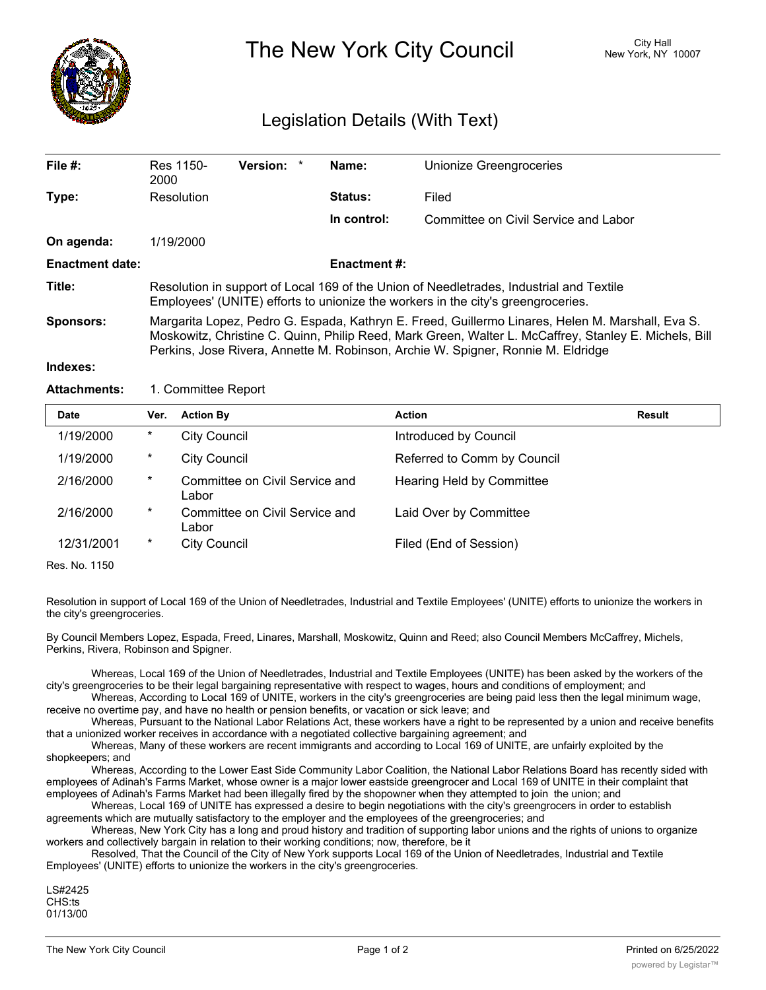

The New York City Council New York, NY 10007

## Legislation Details (With Text)

| File $#$ :             | Res 1150-<br>2000                                                                                                                                                                                                                                                                             | Version: * |  | Name:               | Unionize Greengroceries              |  |  |
|------------------------|-----------------------------------------------------------------------------------------------------------------------------------------------------------------------------------------------------------------------------------------------------------------------------------------------|------------|--|---------------------|--------------------------------------|--|--|
| Type:                  | Resolution                                                                                                                                                                                                                                                                                    |            |  | <b>Status:</b>      | Filed                                |  |  |
|                        |                                                                                                                                                                                                                                                                                               |            |  | In control:         | Committee on Civil Service and Labor |  |  |
| On agenda:             | 1/19/2000                                                                                                                                                                                                                                                                                     |            |  |                     |                                      |  |  |
| <b>Enactment date:</b> |                                                                                                                                                                                                                                                                                               |            |  | <b>Enactment #:</b> |                                      |  |  |
| Title:                 | Resolution in support of Local 169 of the Union of Needletrades, Industrial and Textile<br>Employees' (UNITE) efforts to unionize the workers in the city's greengroceries.                                                                                                                   |            |  |                     |                                      |  |  |
| Sponsors:              | Margarita Lopez, Pedro G. Espada, Kathryn E. Freed, Guillermo Linares, Helen M. Marshall, Eva S.<br>Moskowitz, Christine C. Quinn, Philip Reed, Mark Green, Walter L. McCaffrey, Stanley E. Michels, Bill<br>Perkins, Jose Rivera, Annette M. Robinson, Archie W. Spigner, Ronnie M. Eldridge |            |  |                     |                                      |  |  |
| Indexes:               |                                                                                                                                                                                                                                                                                               |            |  |                     |                                      |  |  |

## Attachments: 1. Committee Report

| <b>Date</b> | Ver.   | <b>Action By</b>                        | Action                      | Result |
|-------------|--------|-----------------------------------------|-----------------------------|--------|
| 1/19/2000   | $\ast$ | <b>City Council</b>                     | Introduced by Council       |        |
| 1/19/2000   | $\ast$ | <b>City Council</b>                     | Referred to Comm by Council |        |
| 2/16/2000   | $\ast$ | Committee on Civil Service and<br>Labor | Hearing Held by Committee   |        |
| 2/16/2000   | $\ast$ | Committee on Civil Service and<br>Labor | Laid Over by Committee      |        |
| 12/31/2001  | $\ast$ | <b>City Council</b>                     | Filed (End of Session)      |        |

Res. No. 1150

Resolution in support of Local 169 of the Union of Needletrades, Industrial and Textile Employees' (UNITE) efforts to unionize the workers in the city's greengroceries.

By Council Members Lopez, Espada, Freed, Linares, Marshall, Moskowitz, Quinn and Reed; also Council Members McCaffrey, Michels, Perkins, Rivera, Robinson and Spigner.

Whereas, Local 169 of the Union of Needletrades, Industrial and Textile Employees (UNITE) has been asked by the workers of the city's greengroceries to be their legal bargaining representative with respect to wages, hours and conditions of employment; and

Whereas, According to Local 169 of UNITE, workers in the city's greengroceries are being paid less then the legal minimum wage, receive no overtime pay, and have no health or pension benefits, or vacation or sick leave; and

Whereas, Pursuant to the National Labor Relations Act, these workers have a right to be represented by a union and receive benefits that a unionized worker receives in accordance with a negotiated collective bargaining agreement; and

Whereas, Many of these workers are recent immigrants and according to Local 169 of UNITE, are unfairly exploited by the shopkeepers; and

Whereas, According to the Lower East Side Community Labor Coalition, the National Labor Relations Board has recently sided with employees of Adinah's Farms Market, whose owner is a major lower eastside greengrocer and Local 169 of UNITE in their complaint that employees of Adinah's Farms Market had been illegally fired by the shopowner when they attempted to join the union; and

Whereas, Local 169 of UNITE has expressed a desire to begin negotiations with the city's greengrocers in order to establish agreements which are mutually satisfactory to the employer and the employees of the greengroceries; and

Whereas, New York City has a long and proud history and tradition of supporting labor unions and the rights of unions to organize workers and collectively bargain in relation to their working conditions; now, therefore, be it

Resolved, That the Council of the City of New York supports Local 169 of the Union of Needletrades, Industrial and Textile Employees' (UNITE) efforts to unionize the workers in the city's greengroceries.

LS#2425 CHS:ts 01/13/00